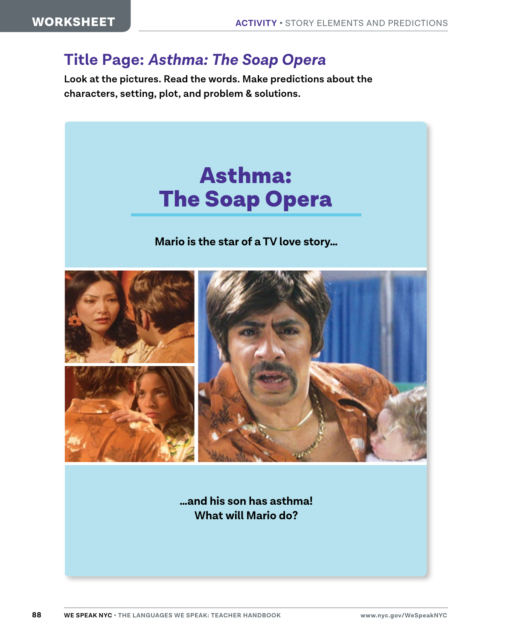## **Title Page:** *Asthma: The Soap Opera*

**Look at the pictures. Read the words. Make predictions about the characters, setting, plot, and problem & solutions.**



**…and his son has asthma! What will Mario do?**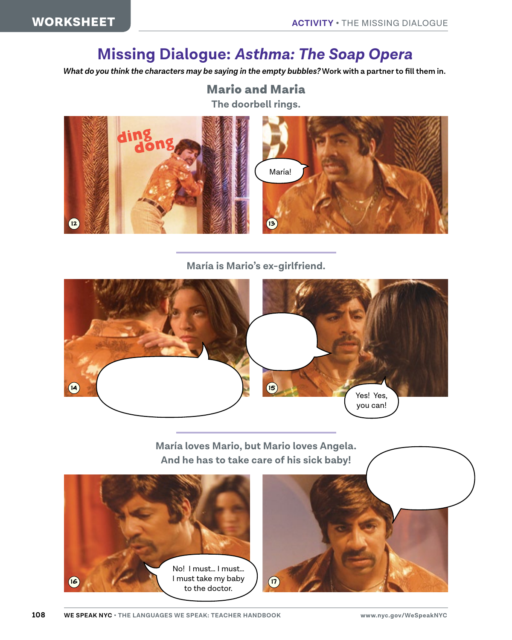## **Missing Dialogue:** *Asthma: The Soap Opera*

*What do you think the characters may be saying in the empty bubbles?* **Work with a partner to fill them in.**

## Mario and Maria

**The doorbell rings.**



**María is Mario's ex-girlfriend.**



**María loves Mario, but Mario loves Angela. And he has to take care of his sick baby!**